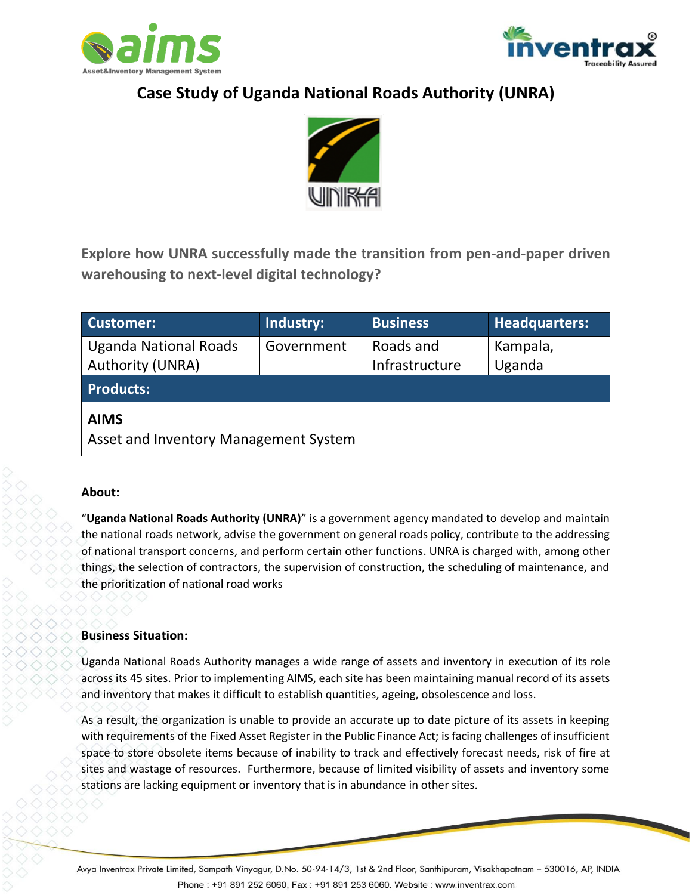



# **Case Study of Uganda National Roads Authority (UNRA)**



**Explore how UNRA successfully made the transition from pen-and-paper driven warehousing to next-level digital technology?**

| <b>Customer:</b>                                     | Industry:  | <b>Business</b> | <b>Headquarters:</b> |
|------------------------------------------------------|------------|-----------------|----------------------|
| <b>Uganda National Roads</b>                         | Government | Roads and       | Kampala,             |
| Authority (UNRA)                                     |            | Infrastructure  | Uganda               |
| <b>Products:</b>                                     |            |                 |                      |
| <b>AIMS</b><br>Asset and Inventory Management System |            |                 |                      |

# **About:**

"**Uganda National Roads Authority (UNRA)**" is a government agency mandated to develop and maintain the national roads network, advise the government on general roads policy, contribute to the addressing of national transport concerns, and perform certain other functions. UNRA is charged with, among other things, the selection of contractors, the supervision of construction, the scheduling of maintenance, and the prioritization of national road works

# **Business Situation:**

Uganda National Roads Authority manages a wide range of assets and inventory in execution of its role across its 45 sites. Prior to implementing AIMS, each site has been maintaining manual record of its assets and inventory that makes it difficult to establish quantities, ageing, obsolescence and loss.

As a result, the organization is unable to provide an accurate up to date picture of its assets in keeping with requirements of the Fixed Asset Register in the Public Finance Act; is facing challenges of insufficient space to store obsolete items because of inability to track and effectively forecast needs, risk of fire at sites and wastage of resources. Furthermore, because of limited visibility of assets and inventory some stations are lacking equipment or inventory that is in abundance in other sites.

Avya Inventrax Private Limited, Sampath Vinyagur, D.No. 50-94-14/3, 1st & 2nd Floor, Santhipuram, Visakhapatnam – 530016, AP, INDIA Phone: +91 891 252 6060, Fax: +91 891 253 6060. Website: www.inventrax.com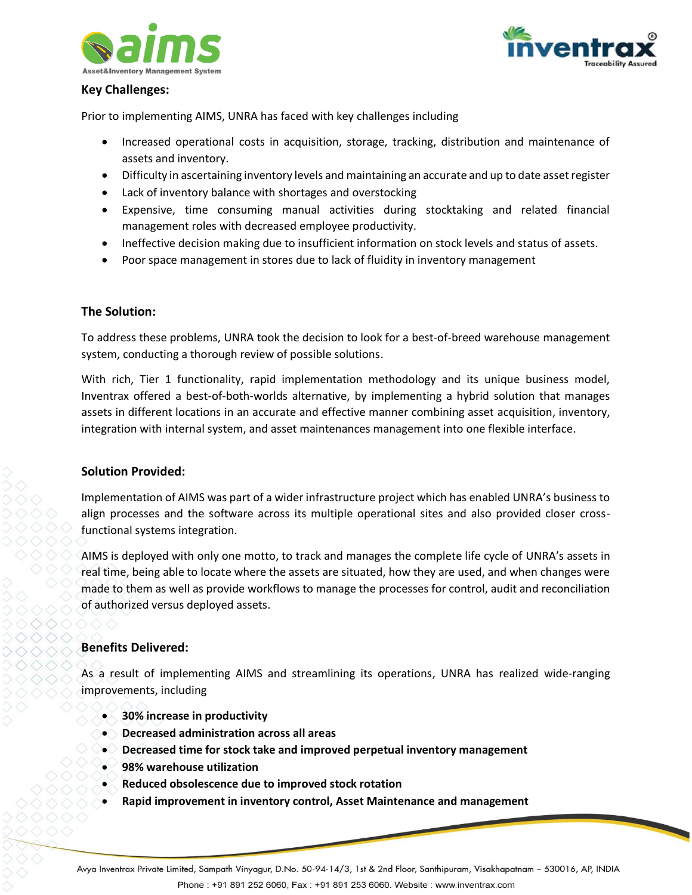



#### **Key Challenges:**

Prior to implementing AIMS, UNRA has faced with key challenges including

- Increased operational costs in acquisition, storage, tracking, distribution and maintenance of assets and inventory.
- Difficulty in ascertaining inventory levels and maintaining an accurate and up to date asset register
- Lack of inventory balance with shortages and overstocking
- Expensive, time consuming manual activities during stocktaking and related financial management roles with decreased employee productivity.
- Ineffective decision making due to insufficient information on stock levels and status of assets.
- Poor space management in stores due to lack of fluidity in inventory management

# **The Solution:**

To address these problems, UNRA took the decision to look for a best-of-breed warehouse management system, conducting a thorough review of possible solutions.

With rich, Tier 1 functionality, rapid implementation methodology and its unique business model, Inventrax offered a best-of-both-worlds alternative, by implementing a hybrid solution that manages assets in different locations in an accurate and effective manner combining asset acquisition, inventory, integration with internal system, and asset maintenances management into one flexible interface.

#### **Solution Provided:**

Implementation of AIMS was part of a wider infrastructure project which has enabled UNRA's business to align processes and the software across its multiple operational sites and also provided closer crossfunctional systems integration.

AIMS is deployed with only one motto, to track and manages the complete life cycle of UNRA's assets in real time, being able to locate where the assets are situated, how they are used, and when changes were made to them as well as provide workflows to manage the processes for control, audit and reconciliation of authorized versus deployed assets.

# **Benefits Delivered:**

As a result of implementing AIMS and streamlining its operations, UNRA has realized wide-ranging improvements, including

- **30% increase in productivity**
- **Decreased administration across all areas**
- **Decreased time for stock take and improved perpetual inventory management**
- **98% warehouse utilization**
- **Reduced obsolescence due to improved stock rotation**
- **Rapid improvement in inventory control, Asset Maintenance and management**

Avya Inventrax Private Limited, Sampath Vinyagur, D.No. 50-94-14/3, 1st & 2nd Floor, Santhipuram, Visakhapatnam – 530016, AP, INDIA Phone: +91 891 252 6060, Fax: +91 891 253 6060. Website: www.inventrax.com